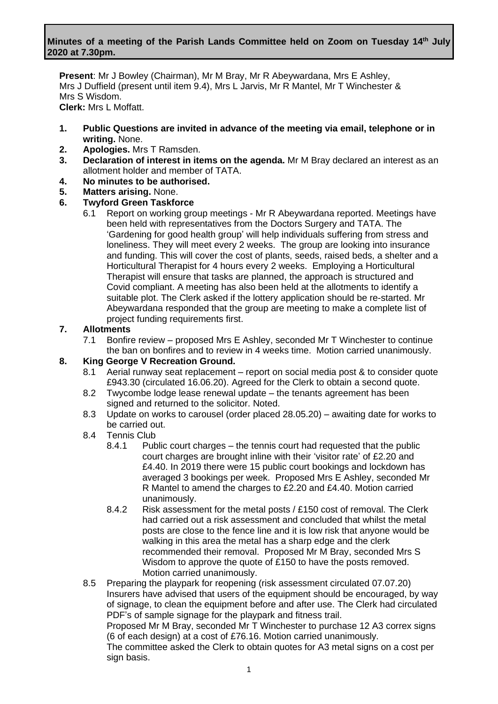### **Minutes of a meeting of the Parish Lands Committee held on Zoom on Tuesday 14th July 2020 at 7.30pm.**

**Present**: Mr J Bowley (Chairman), Mr M Bray, Mr R Abeywardana, Mrs E Ashley, Mrs J Duffield (present until item 9.4), Mrs L Jarvis, Mr R Mantel, Mr T Winchester & Mrs S Wisdom. **Clerk:** Mrs L Moffatt.

- **1. Public Questions are invited in advance of the meeting via email, telephone or in writing.** None.
- **2. Apologies.** Mrs T Ramsden.
- **3. Declaration of interest in items on the agenda.** Mr M Bray declared an interest as an allotment holder and member of TATA.
- **4. No minutes to be authorised.**
- **5. Matters arising.** None.

### **6. Twyford Green Taskforce**

6.1 Report on working group meetings - Mr R Abeywardana reported. Meetings have been held with representatives from the Doctors Surgery and TATA. The 'Gardening for good health group' will help individuals suffering from stress and loneliness. They will meet every 2 weeks. The group are looking into insurance and funding. This will cover the cost of plants, seeds, raised beds, a shelter and a Horticultural Therapist for 4 hours every 2 weeks. Employing a Horticultural Therapist will ensure that tasks are planned, the approach is structured and Covid compliant. A meeting has also been held at the allotments to identify a suitable plot. The Clerk asked if the lottery application should be re-started. Mr Abeywardana responded that the group are meeting to make a complete list of project funding requirements first.

#### **7. Allotments**

7.1 Bonfire review – proposed Mrs E Ashley, seconded Mr T Winchester to continue the ban on bonfires and to review in 4 weeks time. Motion carried unanimously.

### **8. King George V Recreation Ground.**

- 8.1 Aerial runway seat replacement report on social media post & to consider quote £943.30 (circulated 16.06.20). Agreed for the Clerk to obtain a second quote.
- 8.2 Twycombe lodge lease renewal update the tenants agreement has been signed and returned to the solicitor. Noted.
- 8.3 Update on works to carousel (order placed 28.05.20) awaiting date for works to be carried out.
- 8.4 Tennis Club
	- 8.4.1 Public court charges the tennis court had requested that the public court charges are brought inline with their 'visitor rate' of £2.20 and £4.40. In 2019 there were 15 public court bookings and lockdown has averaged 3 bookings per week. Proposed Mrs E Ashley, seconded Mr R Mantel to amend the charges to £2.20 and £4.40. Motion carried unanimously.
	- 8.4.2 Risk assessment for the metal posts / £150 cost of removal. The Clerk had carried out a risk assessment and concluded that whilst the metal posts are close to the fence line and it is low risk that anyone would be walking in this area the metal has a sharp edge and the clerk recommended their removal. Proposed Mr M Bray, seconded Mrs S Wisdom to approve the quote of £150 to have the posts removed. Motion carried unanimously.
- 8.5 Preparing the playpark for reopening (risk assessment circulated 07.07.20) Insurers have advised that users of the equipment should be encouraged, by way of signage, to clean the equipment before and after use. The Clerk had circulated PDF's of sample signage for the playpark and fitness trail. Proposed Mr M Bray, seconded Mr T Winchester to purchase 12 A3 correx signs (6 of each design) at a cost of £76.16. Motion carried unanimously. The committee asked the Clerk to obtain quotes for A3 metal signs on a cost per sign basis.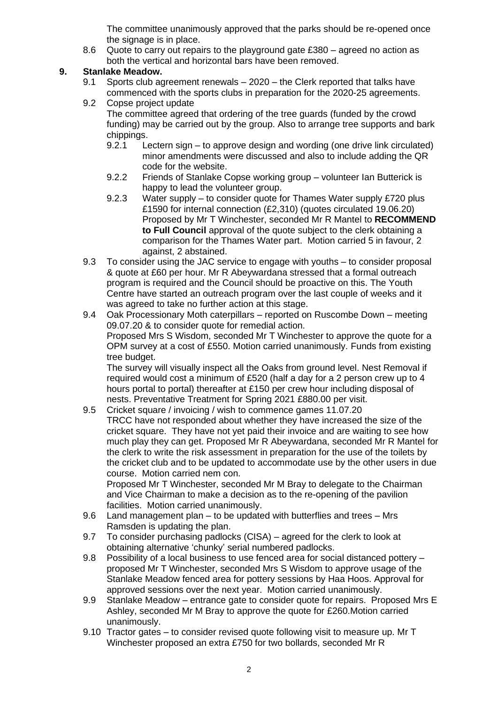The committee unanimously approved that the parks should be re-opened once the signage is in place.

8.6 Quote to carry out repairs to the playground gate £380 – agreed no action as both the vertical and horizontal bars have been removed.

# **9. Stanlake Meadow.**

- 9.1 Sports club agreement renewals 2020 the Clerk reported that talks have commenced with the sports clubs in preparation for the 2020-25 agreements.
- 9.2 Copse project update The committee agreed that ordering of the tree guards (funded by the crowd funding) may be carried out by the group. Also to arrange tree supports and bark chippings.
	- 9.2.1 Lectern sign to approve design and wording (one drive link circulated) minor amendments were discussed and also to include adding the QR code for the website.
	- 9.2.2 Friends of Stanlake Copse working group volunteer Ian Butterick is happy to lead the volunteer group.
	- 9.2.3 Water supply to consider quote for Thames Water supply £720 plus £1590 for internal connection (£2,310) (quotes circulated 19.06.20) Proposed by Mr T Winchester, seconded Mr R Mantel to **RECOMMEND to Full Council** approval of the quote subject to the clerk obtaining a comparison for the Thames Water part. Motion carried 5 in favour, 2 against, 2 abstained.
- 9.3 To consider using the JAC service to engage with youths to consider proposal & quote at £60 per hour. Mr R Abeywardana stressed that a formal outreach program is required and the Council should be proactive on this. The Youth Centre have started an outreach program over the last couple of weeks and it was agreed to take no further action at this stage.
- 9.4 Oak Processionary Moth caterpillars reported on Ruscombe Down meeting 09.07.20 & to consider quote for remedial action. Proposed Mrs S Wisdom, seconded Mr T Winchester to approve the quote for a OPM survey at a cost of £550. Motion carried unanimously. Funds from existing tree budget. The survey will visually inspect all the Oaks from ground level. Nest Removal if

required would cost a minimum of £520 (half a day for a 2 person crew up to 4 hours portal to portal) thereafter at £150 per crew hour including disposal of nests. Preventative Treatment for Spring 2021 £880.00 per visit.

9.5 Cricket square / invoicing / wish to commence games 11.07.20

TRCC have not responded about whether they have increased the size of the cricket square. They have not yet paid their invoice and are waiting to see how much play they can get. Proposed Mr R Abeywardana, seconded Mr R Mantel for the clerk to write the risk assessment in preparation for the use of the toilets by the cricket club and to be updated to accommodate use by the other users in due course. Motion carried nem con.

Proposed Mr T Winchester, seconded Mr M Bray to delegate to the Chairman and Vice Chairman to make a decision as to the re-opening of the pavilion facilities. Motion carried unanimously.

- 9.6 Land management plan to be updated with butterflies and trees Mrs Ramsden is updating the plan.
- 9.7 To consider purchasing padlocks (CISA) agreed for the clerk to look at obtaining alternative 'chunky' serial numbered padlocks.
- 9.8 Possibility of a local business to use fenced area for social distanced pottery proposed Mr T Winchester, seconded Mrs S Wisdom to approve usage of the Stanlake Meadow fenced area for pottery sessions by Haa Hoos. Approval for approved sessions over the next year. Motion carried unanimously.
- 9.9 Stanlake Meadow entrance gate to consider quote for repairs. Proposed Mrs E Ashley, seconded Mr M Bray to approve the quote for £260.Motion carried unanimously.
- 9.10 Tractor gates to consider revised quote following visit to measure up. Mr T Winchester proposed an extra £750 for two bollards, seconded Mr R